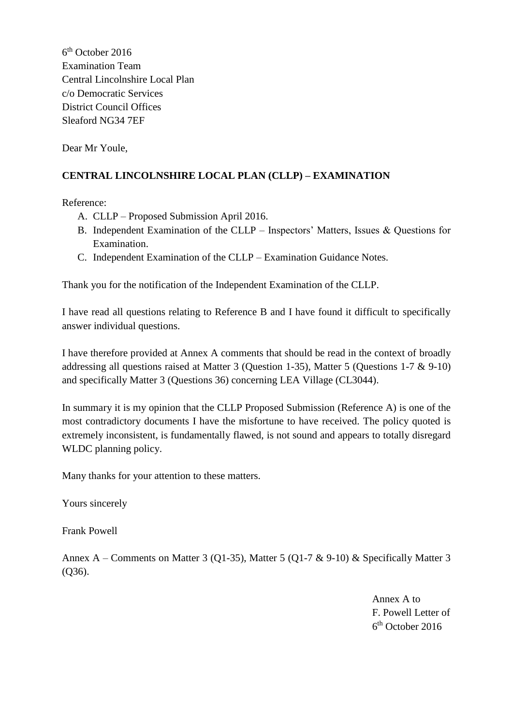6 th October 2016 Examination Team Central Lincolnshire Local Plan c/o Democratic Services District Council Offices Sleaford NG34 7EF

Dear Mr Youle,

## **CENTRAL LINCOLNSHIRE LOCAL PLAN (CLLP) – EXAMINATION**

Reference:

- A. CLLP Proposed Submission April 2016.
- B. Independent Examination of the CLLP Inspectors' Matters, Issues & Questions for Examination.
- C. Independent Examination of the CLLP Examination Guidance Notes.

Thank you for the notification of the Independent Examination of the CLLP.

I have read all questions relating to Reference B and I have found it difficult to specifically answer individual questions.

I have therefore provided at Annex A comments that should be read in the context of broadly addressing all questions raised at Matter 3 (Question 1-35), Matter 5 (Questions 1-7 & 9-10) and specifically Matter 3 (Questions 36) concerning LEA Village (CL3044).

In summary it is my opinion that the CLLP Proposed Submission (Reference A) is one of the most contradictory documents I have the misfortune to have received. The policy quoted is extremely inconsistent, is fundamentally flawed, is not sound and appears to totally disregard WLDC planning policy.

Many thanks for your attention to these matters.

Yours sincerely

Frank Powell

Annex A – Comments on Matter 3 (Q1-35), Matter 5 (Q1-7 & 9-10) & Specifically Matter 3 (Q36).

> Annex A to F. Powell Letter of 6 th October 2016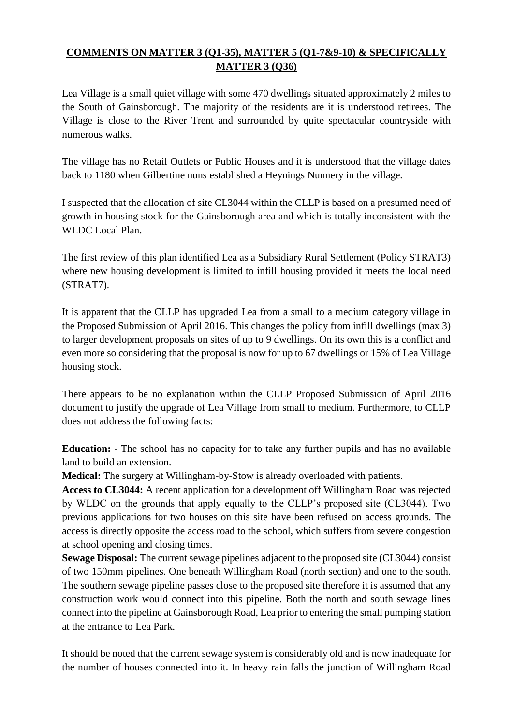## **COMMENTS ON MATTER 3 (Q1-35), MATTER 5 (Q1-7&9-10) & SPECIFICALLY MATTER 3 (Q36)**

Lea Village is a small quiet village with some 470 dwellings situated approximately 2 miles to the South of Gainsborough. The majority of the residents are it is understood retirees. The Village is close to the River Trent and surrounded by quite spectacular countryside with numerous walks.

The village has no Retail Outlets or Public Houses and it is understood that the village dates back to 1180 when Gilbertine nuns established a Heynings Nunnery in the village.

I suspected that the allocation of site CL3044 within the CLLP is based on a presumed need of growth in housing stock for the Gainsborough area and which is totally inconsistent with the WLDC Local Plan.

The first review of this plan identified Lea as a Subsidiary Rural Settlement (Policy STRAT3) where new housing development is limited to infill housing provided it meets the local need (STRAT7).

It is apparent that the CLLP has upgraded Lea from a small to a medium category village in the Proposed Submission of April 2016. This changes the policy from infill dwellings (max 3) to larger development proposals on sites of up to 9 dwellings. On its own this is a conflict and even more so considering that the proposal is now for up to 67 dwellings or 15% of Lea Village housing stock.

There appears to be no explanation within the CLLP Proposed Submission of April 2016 document to justify the upgrade of Lea Village from small to medium. Furthermore, to CLLP does not address the following facts:

**Education:** - The school has no capacity for to take any further pupils and has no available land to build an extension.

**Medical:** The surgery at Willingham-by-Stow is already overloaded with patients.

**Access to CL3044:** A recent application for a development off Willingham Road was rejected by WLDC on the grounds that apply equally to the CLLP's proposed site (CL3044). Two previous applications for two houses on this site have been refused on access grounds. The access is directly opposite the access road to the school, which suffers from severe congestion at school opening and closing times.

**Sewage Disposal:** The current sewage pipelines adjacent to the proposed site (CL3044) consist of two 150mm pipelines. One beneath Willingham Road (north section) and one to the south. The southern sewage pipeline passes close to the proposed site therefore it is assumed that any construction work would connect into this pipeline. Both the north and south sewage lines connect into the pipeline at Gainsborough Road, Lea prior to entering the small pumping station at the entrance to Lea Park.

It should be noted that the current sewage system is considerably old and is now inadequate for the number of houses connected into it. In heavy rain falls the junction of Willingham Road